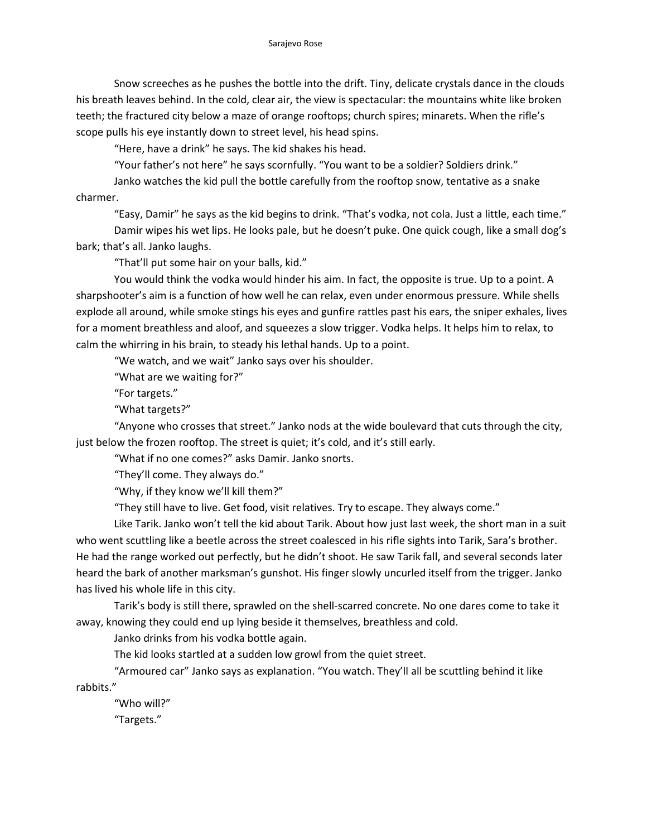Snow screeches as he pushes the bottle into the drift. Tiny, delicate crystals dance in the clouds his breath leaves behind. In the cold, clear air, the view is spectacular: the mountains white like broken teeth; the fractured city below a maze of orange rooftops; church spires; minarets. When the rifle's scope pulls his eye instantly down to street level, his head spins.

"Here, have a drink" he says. The kid shakes his head.

"Your father's not here" he says scornfully. "You want to be a soldier? Soldiers drink."

Janko watches the kid pull the bottle carefully from the rooftop snow, tentative as a snake charmer.

"Easy, Damir" he says as the kid begins to drink. "That's vodka, not cola. Just a little, each time." Damir wipes his wet lips. He looks pale, but he doesn't puke. One quick cough, like a small dog's bark; that's all. Janko laughs.

"That'll put some hair on your balls, kid."

You would think the vodka would hinder his aim. In fact, the opposite is true. Up to a point. A sharpshooter's aim is a function of how well he can relax, even under enormous pressure. While shells explode all around, while smoke stings his eyes and gunfire rattles past his ears, the sniper exhales, lives for a moment breathless and aloof, and squeezes a slow trigger. Vodka helps. It helps him to relax, to calm the whirring in his brain, to steady his lethal hands. Up to a point.

"We watch, and we wait" Janko says over his shoulder.

"What are we waiting for?"

"For targets."

"What targets?"

"Anyone who crosses that street." Janko nods at the wide boulevard that cuts through the city, just below the frozen rooftop. The street is quiet; it's cold, and it's still early.

"What if no one comes?" asks Damir. Janko snorts.

"They'll come. They always do."

"Why, if they know we'll kill them?"

"They still have to live. Get food, visit relatives. Try to escape. They always come."

Like Tarik. Janko won't tell the kid about Tarik. About how just last week, the short man in a suit who went scuttling like a beetle across the street coalesced in his rifle sights into Tarik, Sara's brother. He had the range worked out perfectly, but he didn't shoot. He saw Tarik fall, and several seconds later heard the bark of another marksman's gunshot. His finger slowly uncurled itself from the trigger. Janko has lived his whole life in this city.

Tarik's body is still there, sprawled on the shell-scarred concrete. No one dares come to take it away, knowing they could end up lying beside it themselves, breathless and cold.

Janko drinks from his vodka bottle again.

The kid looks startled at a sudden low growl from the quiet street.

"Armoured car" Janko says as explanation. "You watch. They'll all be scuttling behind it like rabbits."

"Who will?"

"Targets."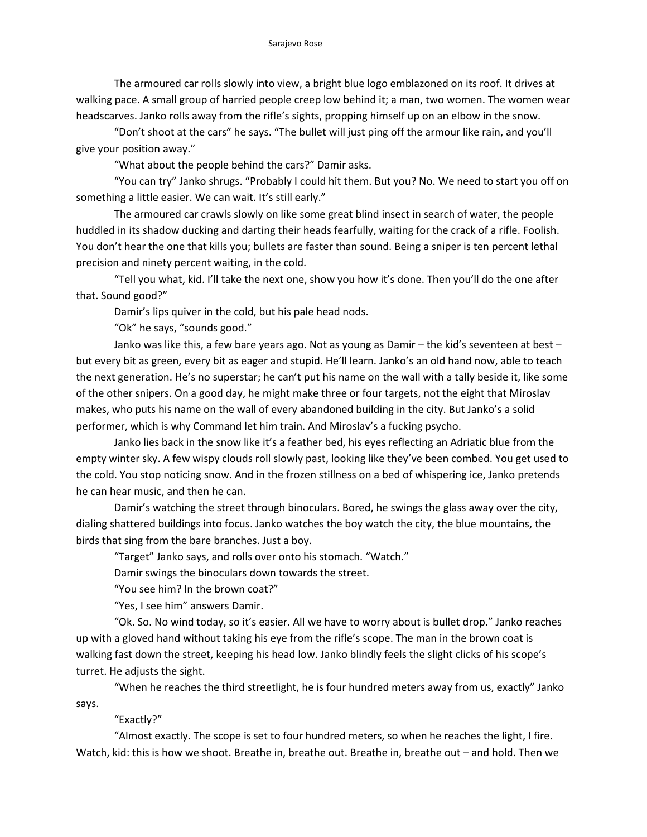The armoured car rolls slowly into view, a bright blue logo emblazoned on its roof. It drives at walking pace. A small group of harried people creep low behind it; a man, two women. The women wear headscarves. Janko rolls away from the rifle's sights, propping himself up on an elbow in the snow.

"Don't shoot at the cars" he says. "The bullet will just ping off the armour like rain, and you'll give your position away."

"What about the people behind the cars?" Damir asks.

"You can try" Janko shrugs. "Probably I could hit them. But you? No. We need to start you off on something a little easier. We can wait. It's still early."

The armoured car crawls slowly on like some great blind insect in search of water, the people huddled in its shadow ducking and darting their heads fearfully, waiting for the crack of a rifle. Foolish. You don't hear the one that kills you; bullets are faster than sound. Being a sniper is ten percent lethal precision and ninety percent waiting, in the cold.

"Tell you what, kid. I'll take the next one, show you how it's done. Then you'll do the one after that. Sound good?"

Damir's lips quiver in the cold, but his pale head nods.

"Ok" he says, "sounds good."

Janko was like this, a few bare years ago. Not as young as Damir – the kid's seventeen at best – but every bit as green, every bit as eager and stupid. He'll learn. Janko's an old hand now, able to teach the next generation. He's no superstar; he can't put his name on the wall with a tally beside it, like some of the other snipers. On a good day, he might make three or four targets, not the eight that Miroslav makes, who puts his name on the wall of every abandoned building in the city. But Janko's a solid performer, which is why Command let him train. And Miroslav's a fucking psycho.

Janko lies back in the snow like it's a feather bed, his eyes reflecting an Adriatic blue from the empty winter sky. A few wispy clouds roll slowly past, looking like they've been combed. You get used to the cold. You stop noticing snow. And in the frozen stillness on a bed of whispering ice, Janko pretends he can hear music, and then he can.

Damir's watching the street through binoculars. Bored, he swings the glass away over the city, dialing shattered buildings into focus. Janko watches the boy watch the city, the blue mountains, the birds that sing from the bare branches. Just a boy.

"Target" Janko says, and rolls over onto his stomach. "Watch."

Damir swings the binoculars down towards the street.

"You see him? In the brown coat?"

"Yes, I see him" answers Damir.

"Ok. So. No wind today, so it's easier. All we have to worry about is bullet drop." Janko reaches up with a gloved hand without taking his eye from the rifle's scope. The man in the brown coat is walking fast down the street, keeping his head low. Janko blindly feels the slight clicks of his scope's turret. He adjusts the sight.

"When he reaches the third streetlight, he is four hundred meters away from us, exactly" Janko says.

## "Exactly?"

"Almost exactly. The scope is set to four hundred meters, so when he reaches the light, I fire. Watch, kid: this is how we shoot. Breathe in, breathe out. Breathe in, breathe out – and hold. Then we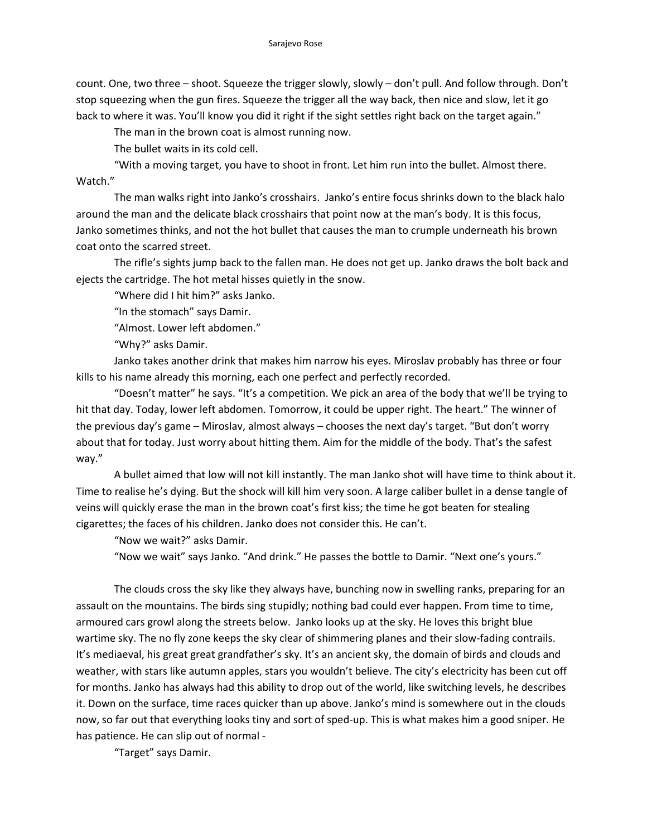count. One, two three – shoot. Squeeze the trigger slowly, slowly – don't pull. And follow through. Don't stop squeezing when the gun fires. Squeeze the trigger all the way back, then nice and slow, let it go back to where it was. You'll know you did it right if the sight settles right back on the target again."

The man in the brown coat is almost running now.

The bullet waits in its cold cell.

"With a moving target, you have to shoot in front. Let him run into the bullet. Almost there. Watch."

The man walks right into Janko's crosshairs. Janko's entire focus shrinks down to the black halo around the man and the delicate black crosshairs that point now at the man's body. It is this focus, Janko sometimes thinks, and not the hot bullet that causes the man to crumple underneath his brown coat onto the scarred street.

The rifle's sights jump back to the fallen man. He does not get up. Janko draws the bolt back and ejects the cartridge. The hot metal hisses quietly in the snow.

"Where did I hit him?" asks Janko.

"In the stomach" says Damir.

"Almost. Lower left abdomen."

"Why?" asks Damir.

Janko takes another drink that makes him narrow his eyes. Miroslav probably has three or four kills to his name already this morning, each one perfect and perfectly recorded.

"Doesn't matter" he says. "It's a competition. We pick an area of the body that we'll be trying to hit that day. Today, lower left abdomen. Tomorrow, it could be upper right. The heart." The winner of the previous day's game – Miroslav, almost always – chooses the next day's target. "But don't worry about that for today. Just worry about hitting them. Aim for the middle of the body. That's the safest way."

A bullet aimed that low will not kill instantly. The man Janko shot will have time to think about it. Time to realise he's dying. But the shock will kill him very soon. A large caliber bullet in a dense tangle of veins will quickly erase the man in the brown coat's first kiss; the time he got beaten for stealing cigarettes; the faces of his children. Janko does not consider this. He can't.

"Now we wait?" asks Damir.

"Now we wait" says Janko. "And drink." He passes the bottle to Damir. "Next one's yours."

The clouds cross the sky like they always have, bunching now in swelling ranks, preparing for an assault on the mountains. The birds sing stupidly; nothing bad could ever happen. From time to time, armoured cars growl along the streets below. Janko looks up at the sky. He loves this bright blue wartime sky. The no fly zone keeps the sky clear of shimmering planes and their slow-fading contrails. It's mediaeval, his great great grandfather's sky. It's an ancient sky, the domain of birds and clouds and weather, with stars like autumn apples, stars you wouldn't believe. The city's electricity has been cut off for months. Janko has always had this ability to drop out of the world, like switching levels, he describes it. Down on the surface, time races quicker than up above. Janko's mind is somewhere out in the clouds now, so far out that everything looks tiny and sort of sped-up. This is what makes him a good sniper. He has patience. He can slip out of normal -

"Target" says Damir.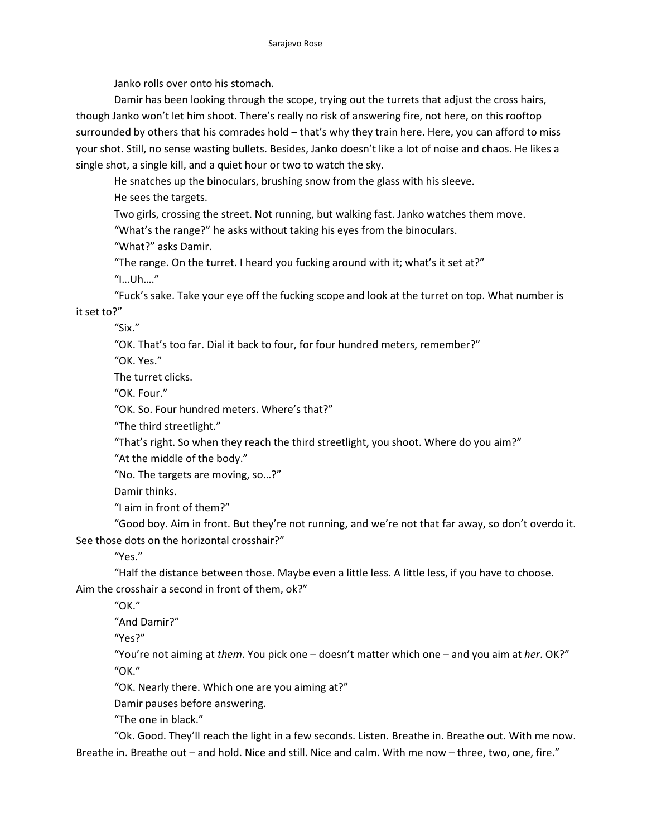Janko rolls over onto his stomach.

Damir has been looking through the scope, trying out the turrets that adjust the cross hairs, though Janko won't let him shoot. There's really no risk of answering fire, not here, on this rooftop surrounded by others that his comrades hold – that's why they train here. Here, you can afford to miss your shot. Still, no sense wasting bullets. Besides, Janko doesn't like a lot of noise and chaos. He likes a single shot, a single kill, and a quiet hour or two to watch the sky.

He snatches up the binoculars, brushing snow from the glass with his sleeve.

He sees the targets.

Two girls, crossing the street. Not running, but walking fast. Janko watches them move.

"What's the range?" he asks without taking his eyes from the binoculars.

"What?" asks Damir.

"The range. On the turret. I heard you fucking around with it; what's it set at?"

"I…Uh…."

"Fuck's sake. Take your eye off the fucking scope and look at the turret on top. What number is it set to?"

"Six."

"OK. That's too far. Dial it back to four, for four hundred meters, remember?"

"OK. Yes."

The turret clicks.

"OK. Four."

"OK. So. Four hundred meters. Where's that?"

"The third streetlight."

"That's right. So when they reach the third streetlight, you shoot. Where do you aim?"

"At the middle of the body."

"No. The targets are moving, so…?"

Damir thinks.

"I aim in front of them?"

"Good boy. Aim in front. But they're not running, and we're not that far away, so don't overdo it. See those dots on the horizontal crosshair?"

"Yes."

"Half the distance between those. Maybe even a little less. A little less, if you have to choose. Aim the crosshair a second in front of them, ok?"

"OK."

"And Damir?"

"Yes?"

"You're not aiming at *them*. You pick one – doesn't matter which one – and you aim at *her*. OK?" "OK."

"OK. Nearly there. Which one are you aiming at?"

Damir pauses before answering.

"The one in black."

"Ok. Good. They'll reach the light in a few seconds. Listen. Breathe in. Breathe out. With me now. Breathe in. Breathe out – and hold. Nice and still. Nice and calm. With me now – three, two, one, fire."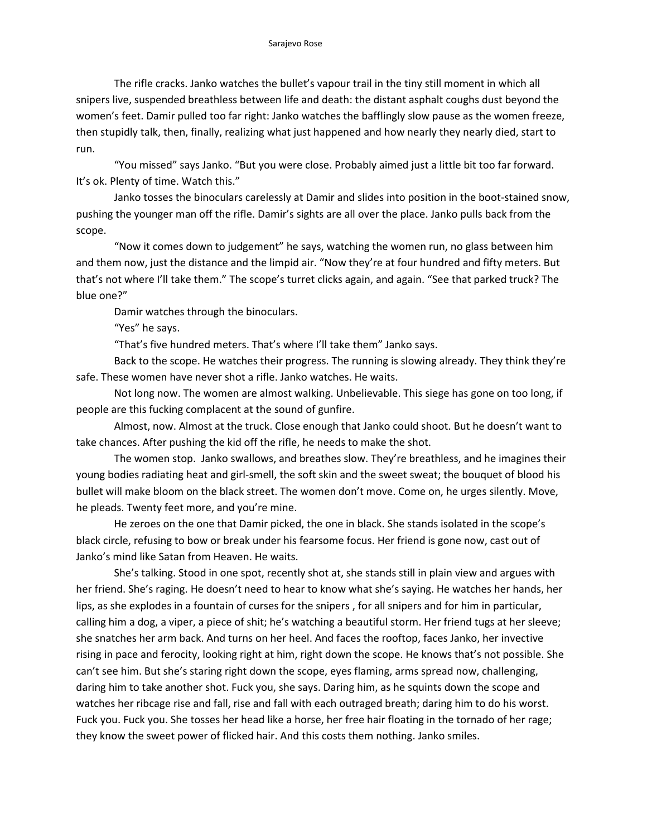The rifle cracks. Janko watches the bullet's vapour trail in the tiny still moment in which all snipers live, suspended breathless between life and death: the distant asphalt coughs dust beyond the women's feet. Damir pulled too far right: Janko watches the bafflingly slow pause as the women freeze, then stupidly talk, then, finally, realizing what just happened and how nearly they nearly died, start to run.

"You missed" says Janko. "But you were close. Probably aimed just a little bit too far forward. It's ok. Plenty of time. Watch this."

Janko tosses the binoculars carelessly at Damir and slides into position in the boot-stained snow, pushing the younger man off the rifle. Damir's sights are all over the place. Janko pulls back from the scope.

"Now it comes down to judgement" he says, watching the women run, no glass between him and them now, just the distance and the limpid air. "Now they're at four hundred and fifty meters. But that's not where I'll take them." The scope's turret clicks again, and again. "See that parked truck? The blue one?"

Damir watches through the binoculars.

"Yes" he says.

"That's five hundred meters. That's where I'll take them" Janko says.

Back to the scope. He watches their progress. The running is slowing already. They think they're safe. These women have never shot a rifle. Janko watches. He waits.

Not long now. The women are almost walking. Unbelievable. This siege has gone on too long, if people are this fucking complacent at the sound of gunfire.

Almost, now. Almost at the truck. Close enough that Janko could shoot. But he doesn't want to take chances. After pushing the kid off the rifle, he needs to make the shot.

The women stop. Janko swallows, and breathes slow. They're breathless, and he imagines their young bodies radiating heat and girl-smell, the soft skin and the sweet sweat; the bouquet of blood his bullet will make bloom on the black street. The women don't move. Come on, he urges silently. Move, he pleads. Twenty feet more, and you're mine.

He zeroes on the one that Damir picked, the one in black. She stands isolated in the scope's black circle, refusing to bow or break under his fearsome focus. Her friend is gone now, cast out of Janko's mind like Satan from Heaven. He waits.

She's talking. Stood in one spot, recently shot at, she stands still in plain view and argues with her friend. She's raging. He doesn't need to hear to know what she's saying. He watches her hands, her lips, as she explodes in a fountain of curses for the snipers , for all snipers and for him in particular, calling him a dog, a viper, a piece of shit; he's watching a beautiful storm. Her friend tugs at her sleeve; she snatches her arm back. And turns on her heel. And faces the rooftop, faces Janko, her invective rising in pace and ferocity, looking right at him, right down the scope. He knows that's not possible. She can't see him. But she's staring right down the scope, eyes flaming, arms spread now, challenging, daring him to take another shot. Fuck you, she says. Daring him, as he squints down the scope and watches her ribcage rise and fall, rise and fall with each outraged breath; daring him to do his worst. Fuck you. Fuck you. She tosses her head like a horse, her free hair floating in the tornado of her rage; they know the sweet power of flicked hair. And this costs them nothing. Janko smiles.